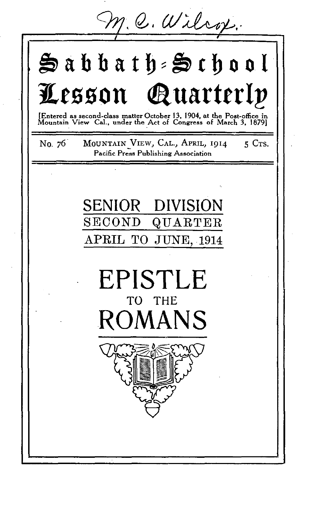$m Q.$  Wilcox.

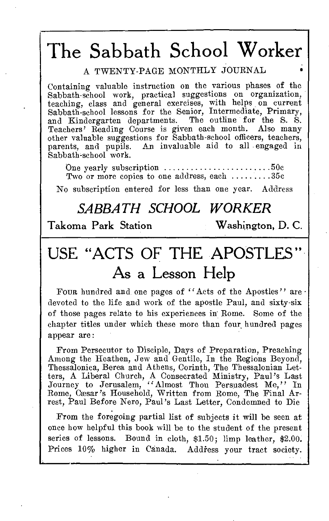# The Sabbath School Worker

A TWENTY-PAGE MONTHLY JOURNAL

Containing valuable instruction on the various phases of the Sabbath-school work, practical suggestions on organization, teaching, class and general exercises, with helps, on current Sabbath-school lessons for the Senior, Intermediate, Primary, and Kindergarten departments. The outline for the S. S. Teachers' Reading Course is given each month. Also many other valuable suggestions for Sabbath-school officers, teachers, parents, and pupils. An invaluable aid to all engaged in Sabbath-school work.

One yearly subscription  $\ldots \ldots \ldots \ldots \ldots \ldots \ldots 50c$ Two or more copies to one address, each  $\dots\dots\dots35c$ 

No subscription entered for less than one year. Address

# *SABBATH SCHOOL WORKER*

# Takoma Park Station Washington, D. C.

# USE "ACTS OF THE APOSTLES" As a Lesson Help

Four hundred and one pages of "Acts of the Apostles" are · devoted to the life and work of the apostle Paul, and sixty-six of those pages relate to his experiences in Rome. Some of the chapter titles under which these more than four hundred pages appear are:

From Persecutor to Disciple, Days of Preparation, Preaching Among the Heathen, Jew and Gentile, In the Regions Beyond, Thessalonica, Berea and Athens, Corinth, The Thessalonian Let-ters, A Liberal Church, A Consecrated Ministry, Paul's Last Journey to Jerusalem, "Almost Thou Persuadest Me," In Rome, Cæsar's Household, Written from Rome, The Final Arrest, Paul Before Nero, Paul's Last Letter, Condemned to Die

From the foregoing partial list of subjects it will be seen at once how helpful this book will be to the student of the present series of lessons. Bound in cloth, \$1.50; limp leather, \$2.00. Prices 10% higher in Canada. Address your tract society.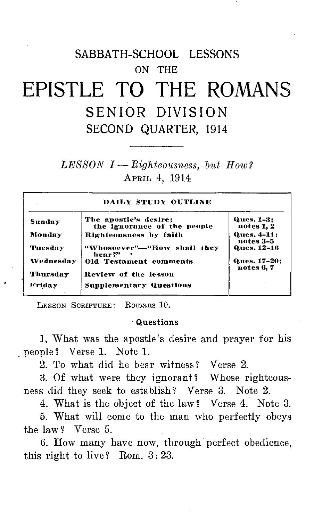# SABBATH-SCHOOL LESSONS ON THE EPISTLE TO THE ROMANS SENIOR DIVISION SECOND QUARTER, 1914

*LESSON I — Righteousness, but How?*  APRIL 4, 1914

| DAILY STUDY OUTLINE |                                                      |                            |
|---------------------|------------------------------------------------------|----------------------------|
| Sunday              | The apostle's desire;<br>the ignorance of the people | Ques. 1-3:<br>notes 1, 2   |
| Monday              | Righteousness by faith                               | Ques. 4-11:<br>notes 3-5   |
| Tuesday             | "Whosoever"-"How shall they<br>hear?"                | <b>Ques, 12-16</b>         |
| Wednesday           | <b>Old Testament comments</b>                        | Ques. 17-20;<br>notes 6, 7 |
| Thursday            | Review of the lesson                                 |                            |
| Friday              | <b>Supplementary Questions</b>                       |                            |

LESSON SCRIPTURE: Romans 10.

#### Questions

1, What was the apostle's desire and prayer for his people ? Verse 1. Note 1.

2. To what did he bear witness? Verse 2.

3. Of what were they ignorant? Whose righteousness did they seek to establish? Verse 3. Note 2.

4. What is the object of the law? Verse 4. Note 3.

5. What will come to the man who perfectly obeys the law ? Verse 5.

6. How many have now, through perfect obedience, this right to live? Rom.  $3:23$ .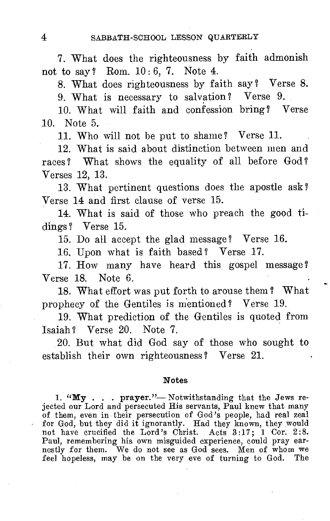7. What does the righteousness by faith admonish not to say? Rom. 10:6, 7. Note 4.

8. What does righteousness by faith say? Verse 8.

9. What is necessary to salvation ? Verse 9.

10. What will faith and confession bring? Verse 10. Note 5.

11. Who will not be put to shame? Verse 11.

12. What is said about distinction between men and races ? What shows the equality of all before God ? Verses 12, 13.

13. What pertinent questions does the apostle ask? Verse 14 and first clause of verse 15.

14. What is said of those who preach the good tidings? Verse 15.

15. Do all accept the glad message ? Verse 16.

16. Upon what is faith based? Verse 17.

17. How many have heard this gospel message ? Verse 18. Note 6.

18. What effort was put forth to arouse them ? What prophecy of the Gentiles is mentioned? Verse 19.

19. What prediction of the Gentiles is quoted from Isaiah? Verse 20. Note 7.

20. But what did God say of those who sought to establish their own righteousness ? Verse 21.

#### **Notes**

1. "My . . . prayer."--- Notwithstanding that the Jews rejected our Lord and persecuted His servants, Paul knew that many of them, even in their persecution of God's people, had real zeal for God, but they did it ignorantly. Had they known, they would not have crucified the Lord's Christ. Acts 3:17; 1 Cor. 2:8.<br>Paul, remembering his own misguided experience, could pray earnestly for them. We do not see as G feel hopeless, may be on the very eve of turning to God. The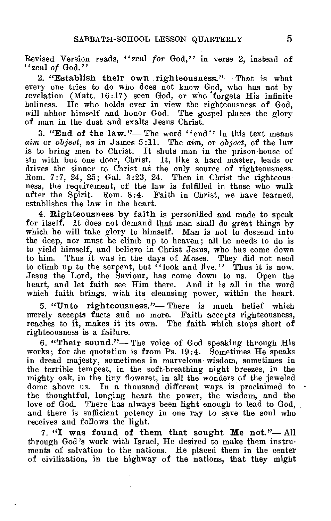Revised Version reads, "zeal *for* God," in verse 2, instead of "zeal *of* God."

**2. "Establish their own righteousness."—** That is what every one tries to do who does not know God, who has not by revelation (Matt. 16:17) seen God, or who forgets His infinite holiness. He who holds ever in view the righteousness of God, will abhor himself and honor God. The gospel places the glory of man in the dust and exalts Jesus Christ.

**3. "End of the law."—** The word "end" in this text means *aim* or *object,* as in James 5:11. The aim, or *object,* of the law is to bring men to Christ. It shuts man in the prison-house of sin with but one door, Christ. It, like a hard master, leads or drives the sinner to Christ as the only source of righteousness. Rom. 7:7, 24, 25; Gal. 3:23, 24. Then in Christ the righteousness, the requirement, of the law is fulfilled in those who walk after the Spirit. Rom. 8:4. Faith in Christ, we have learned, establishes the law in the heart.

**4. Righteousness by faith** is personified and made to speak for itself. **It** does not demand that man shall do great things by which he will take glory to himself. Man is not to descend into the deep, nor must he climb up to heaven; all he needs to do is to yield himself, and believe in Christ Jesus, who has come down to him. Thus it was in the days of Moses. They did not need to climb up to the serpent, but  $\cdot$  look and live." Thus it is now. Jesus the Lord, the Saviour, has come down to us. Open the heart, and let faith see Him there. And it is all in the word which faith brings, with its cleansing power, within the heart.

**5. "Unto righteousness."—** There is much belief which merely accepts facts and no more. Faith accepts righteousness, reaches to it, makes it its own. The faith which stops short of righteousness is a failure.

**6. "Their sound."—** The voice of God speaking through His works; for the quotation is from Ps. 19:4. Sometimes He speaks in dread majesty, sometimes in marvelous wisdom, sometimes in the terrible tempest, in the soft-breathing night breezes, in the mighty oak, in the tiny floweret, in all the wonders of the jeweled dome above us. In a thousand different ways is proclaimed to . the thoughtful, longing heart the power, the wisdom, and the love of God. There has always been light enough to lead to God, and there is sufficient potency in one ray to save the soul who receives and follows the light.

7. "I **was found of them that sought Me not."—** All through God's work with Israel, He desired to make them instruments of salvation to the nations. He placed them in the center of civilization, in the highway of the nations, that they might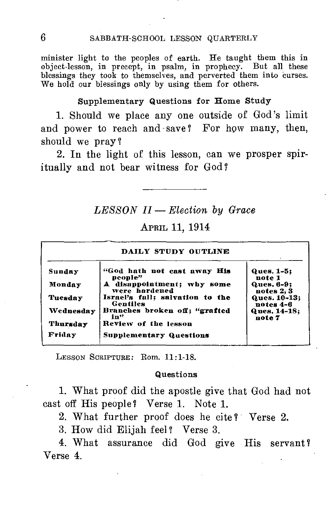minister light to the peoples of earth. He taught them this in object-lesson, in precept, in psalm, in prophecy. But all these blessings they took to themselves, and perverted them into curses. We hold our blessings only by using them for others.

#### Supplementary Questions for Home Study

1. Should we place any one outside of God's limit and power to reach and save? For how many, then, should we pray?

2. In the light of this lesson, can we prosper spiritually and not bear witness for God?

#### *LESSON II — Election by Grace*

## APRIL 11, 1914

| DAILY STUDY OUTLINE |                                             |                           |
|---------------------|---------------------------------------------|---------------------------|
| Sunday              | "God hath not cast away His<br>people"      | Ques. 1-5:<br>note 1      |
| Monday              | A disappointment; why some<br>were hardened | Ques. 6-9:<br>notes 2, 3  |
| Tuesday             | Israel's fall; salvation to the<br>Gentiles | Ques. 10-13:<br>notes 4-6 |
| Wednesday           | Branches broken off: "grafted<br>in"        | Ques. 14-18:<br>note 7    |
| Thursday            | Review of the lesson                        |                           |
| Friday              | <b>Supplementary Questions</b>              |                           |

LESSON SCRIPTURE: Rom. 11:1-18.

#### Questions

1. What proof did the apostle give that God had not cast off His people? Verse 1. Note 1.

2. What further proof does he cite ? Verse 2.

3. How did Elijah feel? Verse 3.

4. What assurance did God give His servant? Verse 4.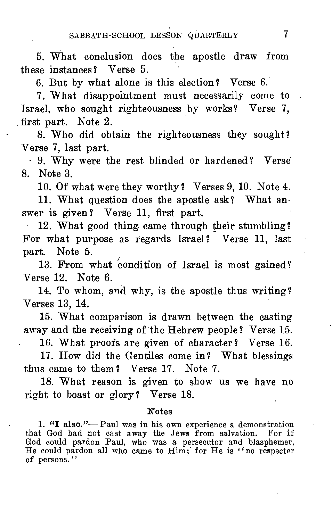5. What conclusion does the apostle draw from these instances? Verse 5.

6. But by what alone is this election ? Verse 6.

7. What disappointment must necessarily come to Israel, who sought righteousness by works? Verse 7, first part. Note 2.

8. Who did obtain the righteousness they sought? Verse 7, last part.

• 9. Why were the rest blinded or hardened? Verse 8. Note 3.

10. Of what were they worthy? Verses 9, 10. Note 4.

11. What question does the apostle ask? What answer is given? Verse 11, first part.

12. What good thing came through their stumbling? For what purpose as regards Israel? Verse 11, last part. Note 5.

13. From what condition of Israel is most gained? Verse 12. Note 6.

14. To whom, and why, is the apostle thus writing? Verses 13, 14.

15. What comparison is drawn between the casting away and the receiving of the Hebrew people? Verse 15.

16. What proofs are given of character? Verse 16.

17. How did the Gentiles come in? What blessings thus came to them ? Verse 17. Note 7.

18. What reason is given to show us we have no right to boast or glory? Verse 18.

#### Notes

1. "I also."- Paul was in his own experience a demonstration that God had not cast away the Jews from salvation. For if God could pardon Paul, who was a persecutor and blasphemer, He could pardon all who came to Him; for He is "no respecter of persons."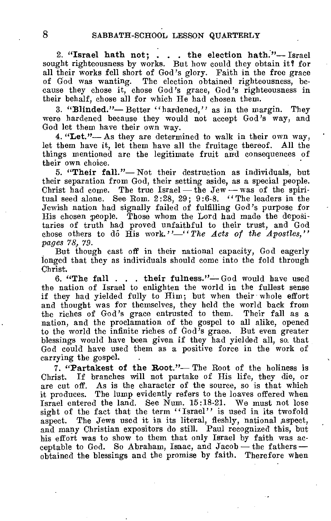**2. "Israel hath not; . . . the election hath."—** Israel sought righteousness by works. But how could they obtain it? for all their works fell short of God's glory. Faith in the free grace of God was wanting. The election obtained righteousness, because they chose it, chose God's grace, God's righteousness in their behalf, chose all for which He had chosen them.

**3. "Blinded."—** Better "hardened," as in the margin. They were hardened because they would not accept God's way, and God let them have their own way.

**4. "Let."—** As they are determined to walk in their own way, let them have it, let them have all the fruitage thereof. All the things mentioned are the legitimate fruit and consequences of their own choice.

**5. "Their fall."—** Not their destruction as individuals, but their separation from God, their setting aside, as a special people. Christ had come. The true  $Israel$ — the Jew — was of the spiritual seed alone. See Rom. 2:28, 29; 9:6-8. "The leaders in the Jewish nation had signally failed of fulfilling God's purpose for His chosen people. Those whom the Lord had made the depositaries of truth had proved unfaithful to their trust, and God chose others to do  $\hat{H}$  work."—"The Acts of the Apostles." *pages 78, 79.* 

But though cast off in their national capacity, God eagerly longed that they as individuals should come into the fold through Christ.

**6. "The fall . . . their fulness."—** God would have used the nation of Israel to enlighten the world in the fullest sense if they had yielded fully to Him; but when their whole effort and thought was for themselves, they held the world back from the riches of God's grace entrusted to them. Their fall as a nation, and the proclamation of the gospel to all alike, opened to the world the infinite riches of God's grace. But even greater blessings would have been given if they had yielded all, so. that God could have used them as a positive force in the work of carrying the gospel.

**7. "Partakest of the Root."—** The Root of the holiness is Christ. If branches will not partake of His life, they die, or are cut off. As is the character of the source, so is that which it produces. The lump evidently refers to the loaves offered when Israel entered the land. See Num. 15:18-21. We must not lose sight of the fact that the term "Israel" is used in its twofold aspect. The Jews used it in its literal, fleshly, national aspect, and many Christian expositors do still. Paul recognized this, but his effort was to show to them that only Israel by faith was acceptable to God. So Abraham, Isaac, and Jacob — the fathers — obtained the blessings and the promise by faith. Therefore when obtained the blessings and the promise by faith.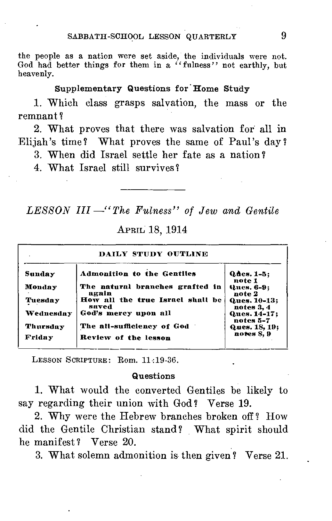the people as a nation were set aside, the individuals were not. God had better things for them in a "fulness" not earthly, but heavenly.

#### Supplementary Questions for Home Study

1. Which class grasps salvation, the mass or the remnant ?

2. What proves that there was salvation for all in Elijah's time? What proves the same of Paul's day?

3. When did Israel settle her fate as a nation?

4. What Israel still survives?

*LESSON III —"The Fulness" of Jew and Gentile* 

#### APRIL 18, 1914

| DAILY STUDY OUTLINE |                                           |                             |
|---------------------|-------------------------------------------|-----------------------------|
| Sunday              | <b>Admonition to the Gentiles</b>         | $Q$ des. $1-5:$<br>note 1   |
| Monday              | The natural branches grafted in<br>again  | Ques. 6-9;<br>note 2        |
| Tuesday             | How all the true Israel shall be<br>saved | Ques. 10-13:<br>notes 3, 4  |
| Wednesday           | God's mercy upon all                      | Ques. 14-17;<br>notes 5-7   |
| Thursday            | The all-sufficiency of God                | Ques. 18, 19;<br>notes S. 9 |
| Friday              | Review of the lesson                      |                             |

LESSON SCRIPTURE: Rom. 11:19-36.

#### Questions

1. What would the converted Gentiles be likely to say regarding their union with God? Verse 19.

2. Why were the Hebrew branches broken off *?* How did the Gentile Christian stand? What spirit should he manifest? Verse 20.

3. What solemn admonition is then given? Verse 21.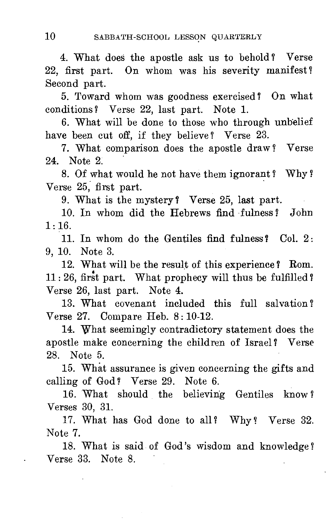4. What does the apostle ask us to behold ? Verse 22, first part. On whom was his severity manifest? Second part.

5. Toward whom was goodness exercised? On what conditions? Verse 22, last part. Note 1.

6. What will be done to those who through unbelief have been cut off, if they believe? Verse 23.

7. What comparison does the apostle draw ? Verse 24. Note 2.

8. Of what would he not have them ignorant ? Why ? Verse 25, first part.

9. What is the mystery? Verse 25, last part.

10. In whom did the Hebrews find fulness? John  $1:16.$ 

11. In whom do the Gentiles find fulness? Col. 2: 9, 10. Note 3.

12. What will be the result of this experience ? Rom. 11: 26, first part. What prophecy will thus be fulfilled? Verse 26, last part. Note 4.

13. What covenant included this full salvation ? Verse 27. Compare Heb. 8: 10-12.

14. What seemingly contradictory statement does the apostle make concerning the children of Israel ? Verse 28. Note 5.

15. What assurance is given concerning the gifts and calling of God? Verse 29. Note 6.

16. What should the believing Gentiles know ? Verses 30, 31.

17. What has God done to all? Why ? Verse 32. Note 7.

18. What is said of God's wisdom and knowledge ? Verse 33. Note 8.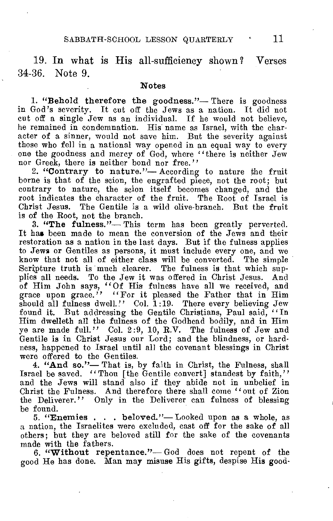19. In what is His all-sufficiency shown ? Verses 34-36. Note 9.

#### Notes

1. "Behold therefore the goodness."— There is goodness in God's severity. It cut off the Jews as a nation. It did not cut off a single Jew as an individual. If he would not believe, he remained in condemnation. His name as Israel, with the character of a sinner, would not save him. But the severity against those who fell in a national way opened in an equal way to every one the goodness and mercy of God, where "there is neither Jew nor Greek, there is neither bond nor free."

2. "Contrary to nature."— According to nature the fruit borne is that of the scion, the engrafted piece, not the root; but contrary to nature, the scion itself becomes changed, and the root indicates the character of the fruit. The Root of Israel is Christ Jesus. The Gentile is a wild olive-branch. But the fruit is of the Root, not the branch.

3. "The fulness."— This term has been greatly perverted. It has been made to mean the conversion of the Jews and their restoration as a nation in the last days. But if the fulness applies to Jews or Gentiles as persons, it must include every one, and we know that not all of either class will be converted. The simple Scripture truth is much clearer. The fulness is that which supplies all needs. To the Jew it was offered in Christ Jesus. And of Him John says, "Of His fulness have all we received, and grace upon grace." "For it pleased the Father that in Him should all fulness dwell." Col. 1:19. There every believing Jew found it. But addressing the Gentile Christians, Paul said, "In Him dwelleth all the fulness of the Godhead bodily, and in Him ye are made full." Col. 2:9, 10, R.V. The fulness of Jew and Gentile is in Christ Jesus our Lord; and the blindness, or hardness, happened to Israel until all the covenant blessings in Christ were offered to the Gentiles.

4. "And so."— That is, by faith in Christ, the Fulness, shall Israel be saved. "Thou [the Gentile convert] standest by faith," and the Jews will stand also if they abide not in unbelief in Christ the Fulness. And therefore there shall come "out of Zion the Deliverer." Only in the Deliverer can fulness of blessing be found.

5. "Enemies . . . beloved."—Looked upon as a whole, as a nation, the Israelites were excluded, east off for the sake of all others; but they are beloved still for the sake of the covenants made with the fathers.

6. "Without repentance."—God does not repent of the good He has done. Man may misuse His gifts, despise His good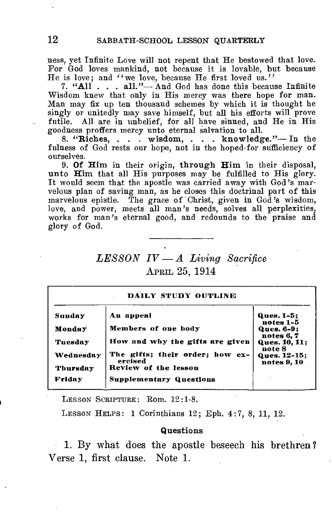ness, yet Infinite Love will not repent that He bestowed that love. For God loves mankind, not because it is lovable, but because He is love; and "we love, because He first loved us."

7. "All . . . all."— And God has done this because Infinite Wisdom knew that only in His mercy was there hope for man. Man may fix up ten thousand schemes by which it is thought he singly or unitedly may save himself, but all his efforts will prove futile. All are in unbelief, for all have sinned, and He in His goodness proffers mercy unto eternal salvation to all.

8. "Riches, . . . wisdom, . • . knowledge."—In the fulness of God rests our hope, not in the hoped-for sufficiency of ourselves.

9. Of Him in their origin, through Him in their disposal, unto Him that all His purposes may be fulfilled to His glory. It would seem that the apostle was carried away with God's marvelous plan of saving man, as he closes this doctrinal part of this marvelous epistle. The grace of Christ, given in God's wisdom, love, and power, meets all man's needs, solves all perplexities, works for man's eternal good, and redounds to the praise and glory of God.

## *LESSON IV — A Living Sacrifice*  APRIL 25, 1914

| DAILY STUDY OUTLINE |                                            |                                       |
|---------------------|--------------------------------------------|---------------------------------------|
| Sunday              | An appeal                                  | Ques. 1-5:<br>notes 1-5               |
| Monday              | Members of one body                        | Ques. 6-9:                            |
| Tuesday             | How and why the gifts are given            | notes 6,7<br>Ques. 10, 11:            |
| Wednesday           | The gifts: their order: how ex-<br>ercised | note 8<br>Ques. 12-15;<br>notes 9, 10 |
| Thursday            | Review of the lesson                       |                                       |
| Friday              | <b>Supplementary Questions</b>             |                                       |

LESSON SCRIPTURE: Rom. 12:1-8.

LESSON HELPS: 1 Corinthians 12; Eph. 4:7, 8, 11, 12.

#### Questions

1. By what does the apostle beseech his brethren ? Verse 1, first clause. Note 1.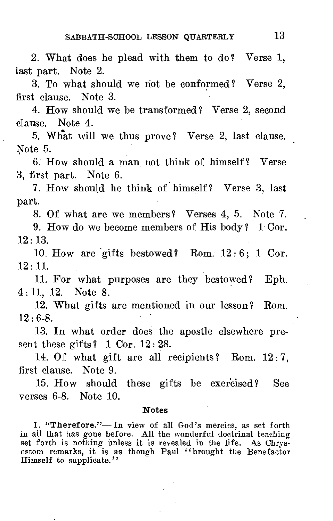2. What does he plead with them to do? Verse 1, last part. Note 2.

3. To what should we riot be conformed ? Verse 2, first clause. Note 3.

4. How should we be transformed? Verse 2, second clause. Note 4.

5. What will we thus prove? Verse 2, last clause. Note 5.

6: How should a man not think of himself ? Verse 3, first part. Note 6.

7. How should he think of himself? Verse 3, last part.

8. Of what are we members? Verses 4, 5. Note 7.

9. How do we become members of His body? 1 Cor.  $12:13.$ 

10. How are gifts bestowed? Rom.  $12:6$ ; 1 Cor.  $12 \cdot 11$ .

11. For what purposes are they bestowed? Eph. 4:11, 12. Note 8.

12. What gifts are mentioned in our lesson? Rom.  $12 \cdot 6 - 8$ .

13. In what order does the apostle elsewhere present these gifts?  $1 \text{ Cor. } 12:28$ .

14. Of what gift are all recipients? Rom.  $12:7$ , first clause. Note 9.

15. How should these gifts be exercised? See verses 6-8. Note 10.

#### **Notes**

1. "Therefore."— In view of all God's mercies, as set forth in all that has gone before. All the wonderful doctrinal teaching set forth is nothing unless it is revealed in the life. As Chrysostom remarks, it is as though Paul "brought the Benefactor Himself to supplicate."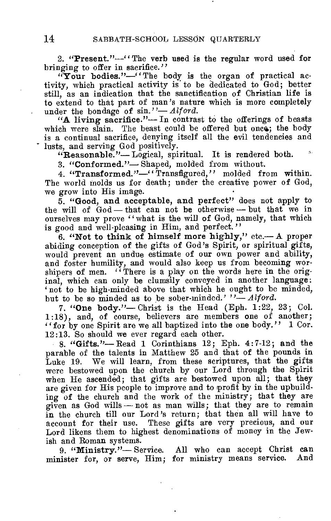**2. "Present."—"** The verb used is the regular word used for bringing to offer in sacrifice."

**"Your bodies."—"The** body is the organ of practical activity, which practical activity is to be dedicated to God; better still, as an indication that the sanctification of Christian life is to extend to that part of man's nature which is more completely under the bondage of sin."— *Alford.* 

**"A living sacrifice."—** In contrast to the offerings of beasts which were slain. The beast could be offered but once; the body is a continual sacrifice, denying itself all the evil tendencies and lusts, and serving God positively.

**"Reasonable."—Logical,** spiritual. It is rendered both.

**3. "Conformed."—** Shaped, molded from without.

**4. "Transformed."—"**Transfigured," molded from within. The world molds us for death; under the creative power of God, we grow into His image.

**5. "Good, and acceptable, and perfect"** does not apply to the will of  $God$ — that can not be otherwise — but that we in ourselves may prove "what is the will of God, namely, that which is good and well-pleasing in Him, and perfect."

**6. "Not to think of himself more highly,"** etc.— A proper abiding conception of the gifts of God's Spirit, or spiritual gifts, would prevent an undue estimate of our own power and ability, and foster humility, and would also keep us from becoming worshipers of men. "There is a play on the words here in the original, which can only be clumsily conveyed in another language: 'not to be high-minded above that which he ought to be minded, but to be so minded as to be sober-minded.' "- Alford.

**7. "One body."—** Christ is the Head (Eph. 1:22, 23; Col. 1:18), and, of course, believers are members one of another; "for by one Spirit are we all baptized into the one body." 1 Cor. 12:13. So should we ever regard each other.

**8. "Gifts."—** Read 1 Corinthians 12; Eph. 4:7-12; **and** the parable of the talents in Matthew 25 and that of the pounds in Luke 19. We will learn, from these scriptures, that the gifts were bestowed upon the church by our Lord through the Spirit when He ascended; that gifts are bestowed upon all; that they are given for His people to improve and to profit by in the upbuilding of the church and the work of the ministry; that they are given as God wills — not as man wills; that they are to remain in the church till our Lord's return; that then all will have to account for their use. These gifts are very precious, and our Lord likens them to highest denominations of money in the Jewish and Roman systems.

**9. "Ministry."—** Service. All who can accept Christ **can minister** for, or serve, Him; for ministry means service. And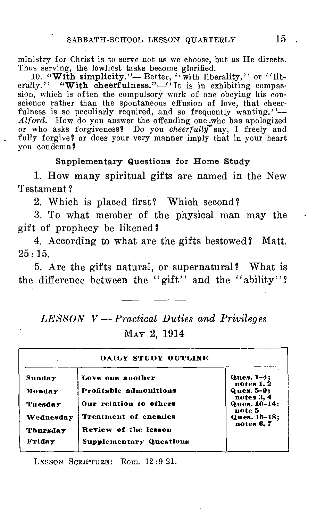ministry for Christ is to serve not as we choose, but as He directs. Thus serving, the lowliest tasks become glorified.

10. "With simplicity."— Better, "with liberality," or "liberally." "With cheerfulness."—"It is in exhibiting compassion, which is often the compulsory work of one obeying his conscience rather than the spontaneous effusion of love, that cheerfulness is so peculiarly required, and so frequently wanting."stellies rather than the spontaneous entuston of love, that cheer-<br>*Alford*. How do you answer the offending one who has apologized<br>or who asks forgiveness? Do you *cheerfully* say, I freely and fully forgive? or does your very manner imply that in your heart you condemn?

#### Supplementary Questions for Home Study

1. How many spiritual gifts are named in the New Testament?

2. Which is placed first? Which second?

3. To what member of the physical man may the gift of prophecy be likened?

4. According to what are the gifts bestowed? Matt. 25:15.

5. Are the gifts natural, or supernatural? What is the difference between the "gift" and the "ability"?

# *LESSON V — Practical Duties and Privileges*  MAY 2, 1914

| DAILY STUDY OUTLINE |                                |                                 |
|---------------------|--------------------------------|---------------------------------|
| Sunday              | Love one another               | <b>Ques. 1-4;</b><br>notes 1, 2 |
| Monday              | Profitable admonitions         | Ques. 5-9:<br>notes 3, 4        |
| Tuesday             | Our relation to others         | Ques. 10-14;<br>note 5          |
| Wednesday           | Treatment of enemies           | Ques. 15-18:<br>notes 6,7       |
| Thursday            | Review of the lesson           |                                 |
| Friday              | <b>Supplementary Questions</b> |                                 |

LESSON SCRIPTURE: Rom. 12:9-21.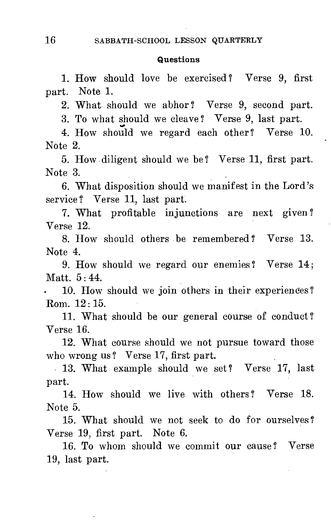#### Questions

1. How should love be exercised ? Verse 9, first part. Note 1.

2. What should we abhor ? Verse 9, second part.

3. To what should we cleave? Verse 9, last part.

4. How should we regard each other? Verse 10. Note 2.

5. How diligent should we be ? Verse 11, first part. Note 3.

6. What disposition should we manifest in the Lord's service? Verse 11, last part.

7. What profitable injunctions are next given? Verse 12.

8. How should others be remembered ? Verse 13. Note 4.

9. How should we regard our enemies? Verse 14; Matt. 5 : 44.

10. How should we join others in their experiences? Rom. 12 : 15.

11. What should be our general course of conduct ? Verse 16.

12. What course should we not pursue toward those who wrong us ? Verse 17, first part.

13. What example should we set? Verse 17, last part.

14. How should we live with others? Verse 18. Note 5.

15. What should we not seek to do for ourselves ? Verse 19, first part. Note 6.

16. To whom should we commit our cause ? Verse 19, last part.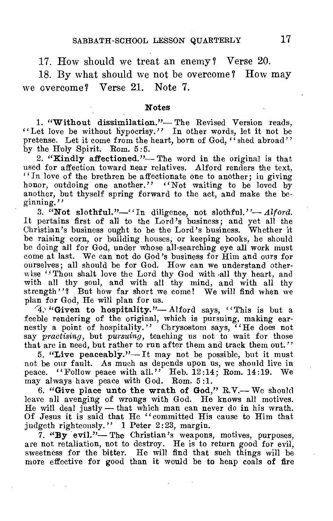17. How should we treat an enemy? Verse 20.

18. By what should we not be overcome ? How may we overcome? Verse 21. Note 7.

#### Notes

1. "Without dissimilation."— The Revised Version reads, "Let love be without hypocrisy." In other words, let it not be pretense. Let it come from the heart, born of God, "shed abroad" by the Holy Spirit. Rom. 5:5.

2. "Kindly affectioned."— The word in the original is that used for affection toward near relatives. Alford renders the text, ":In love of the brethren be affectionate one to another; in giving honor, outdoing one another." "Not waiting to be loved by another, but thyself spring forward to the act, and make the beginning."

3. "Not slothful."—"In diligence, not slothful."— *Alford.*  It pertains first of all to the Lord's business; and yet all the Christian's business ought to be the Lord's business. Whether it be raising corn, or building houses or keeping books, he should be raising corn, or building houses, or keeping books, he should be doing all for God, under whose all-searching eye all work must come at last. We can not do God's business for Him and ours for ourselves; all should be for God. How can we understand otherwise "Thou shalt love the Lord thy God with all thy heart, and with all thy soul, and with all thy mind, and with all thy strength"? But how far short we come! We will find when we plan for God, He will plan for us.

'4.. "Given to hospitality."— Alford says, "This is but a feeble rendering of the original, which is pursuing, making earnestly a point of hospitality." Chrysostom says, "He does not say *practising,* but *pursuing,* teaching us not to wait for those that are in need, but rather to run after them and track them out."

5. "Live peaceably."— It may not be possible, but it must not be our fault. As much as depends upon us, we should live in peace. "Follow peace with all." Heb.  $12:14$ ; Rom. 14:19. We may always have peace with God. Rom. 5:1.

6. "Give place unto the wrath of God," R.V.— We should leave all avenging of wrongs with God. He knows all motives. He will deal justly — that which man can never do in his wrath. Of Jesus it is said that He "committed His cause to Him that judgeth righteously." 1 Peter 2:23, margin.

7. "By evil."— The Christian's weapons, motives, purposes, are not retaliation, not to destroy. He is to return good for evil, sweetness for the bitter. He will find that such things will be more effective for good than it would be to heap coals of fire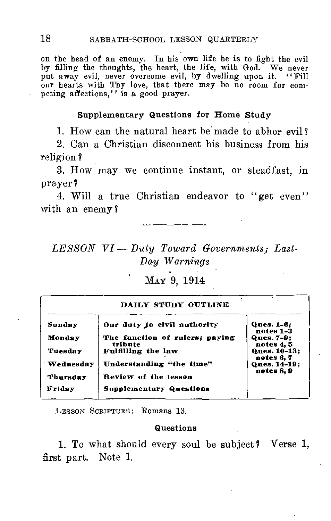on the head of an enemy. In his own life he is to fight the evil by filling the thoughts, the heart, the life, with God. We never put away evil, never overcome evil, by dwelling upon it. "Fill our hearts with Thy love, that there may be no room for competing affections," is a good prayer.

#### **Supplementary Questions for Home Study**

1. How can the natural heart be made to abhor evil ?

2. Can a Christian disconnect his business from his religion ?

3. How may we continue instant, or steadfast, in prayer?

4. Will a true Christian endeavor to "get even" with an enemy?

*LESSON VI—Duty Toward Governments; Last-Day Warnings* 

# MAY 9, 1914

| DAILY STUDY OUTLINE- |                                           |                            |
|----------------------|-------------------------------------------|----------------------------|
| Sunday               | Our duty to civil authority               | Ques. 1-6:<br>notes 1-3    |
| Monday               | The function of rulers; paying<br>tribute | Ques. 7-9:<br>notes 4, 5   |
| <b>Tuesday</b>       | Fulfilling the law                        | Ques. 10-13:<br>notes 6, 7 |
| Wednesday            | Understanding "the time"                  | Ques. 14-19:<br>notes 8.9  |
| Thursday             | Review of the lesson                      |                            |
| Friday               | <b>Supplementary Questions</b>            |                            |
|                      |                                           |                            |

LESSON SCRIPTURE: Romans 13.

#### **Questions**

1. To what should every soul be subject? Verse 1, first part. Note 1.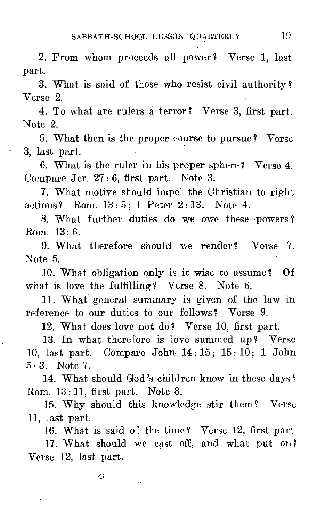2. From whom proceeds all power? Verse 1, last part.

3. What is said of those who resist civil authority ? Verse 2.

4. To what are rulers a terror? Verse 3, first part. Note 2.

5. What then is the proper course to pursue? Verse 3, last part.

6. What is the ruler in his proper sphere? Verse 4. Compare Jer. 27: 6, first part. Note 3.

7. What motive should impel the Christian to right actions? Rom. 13 : 5; 1 Peter 2:13. Note 4.

8. What further duties do we owe these .powers? Rom. 13:6.

9. What therefore should we render? Verse 7. Note 5.

10. What obligation only is it wise to assume? Of what is love the fulfilling? Verse 8. Note 6.

11. What general summary is given of the law in reference to our duties to our fellows? Verse 9.

12. What does love not do? Verse 10, first part.

13. In what therefore is love summed up? Verse 10, last part. Compare John 14: 15; 15: 10; 1 John 5 : 3. Note 7.

14. What should God's children know in these days ? Rom. 13: 11, first part. Note 8.

15. Why should this knowledge stir them? Verse 11, last part.

16. What is said of the time? Verse 12, first part.

17. What should we cast off, and what put on? Verse 12, last part.

o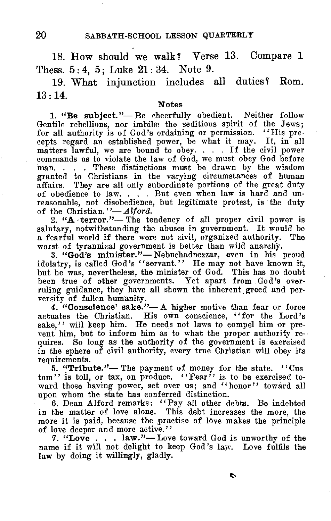18. How should we walk? Verse 13. Compare 1 Thess. 5: 4, 5: Luke 21: 34. Note 9.

19. What injunction includes all duties? Rom.  $13 \cdot 14$ 

#### Notes

1. "Be subject."—Be cheerfully obedient. Neither follow Gentile rebellions, nor imbibe the seditious spirit of the Jews; for all authority is of God's ordaining or permission. ''His precepts regard an established power, be what it may. It, in all matters lawful, we are bound to obey.  $\ldots$ . If the civil power commands us to violate the law of God, we must obey God before man. . . . These distinctions must be drawn by the wisdom granted to Christians in the varying circumstances of human affairs. They are all only subordinate portions of the great duty of obedience to law. . . . But even when law is hard and unreasonable, not disobedience, but legitimate protest, is the duty

of the Christian."-*Alford*.<br>
2. "A *terror."*-The tendency of all proper civil power is salutary, notwithstanding the abuses in government. It would be a fearful world if there were not civil, organized authority. The worst of tyrannical government is better than wild anarchy.

3. "God's minister."— Nebuchadnezzar, even in his proud idolatry, is called God's "servant." He may not have known it, but he was, nevertheless, the minister of God. This has no doubt been true of other governments. Yet apart from .God's overruling guidance, they have all shown the inherent greed and perversity of fallen humanity.

4. "Conscience' sake."— A higher motive than fear or force actuates the Christian. His own conscience, "for the Lord's sake." will keep him. He needs not laws to compel him or prevent him, but to inform him as to what the proper authority requires. So long as the authority of the government is exercised in the sphere of civil authority, every true Christian will obey its requirements.

5. "Tribute."— The payment of money for the state. "Cus $t$ om" is toll, or tax, on produce. "Fear" is to be exercised toward those having power, set over us; and "honor" toward all upon whom the state has conferred distinction.

6. Dean Alford remarks: "Pay all other debts. Be indebted in the matter of love alone. This debt increases the more, the more it is paid, because the practise of love makes the principle of love deeper and more active."

7. "Love  $\ldots$  law."-Love toward God is unworthy of the name if it will not delight to keep God's law. Love fulfils the law by doing it willingly, gladly.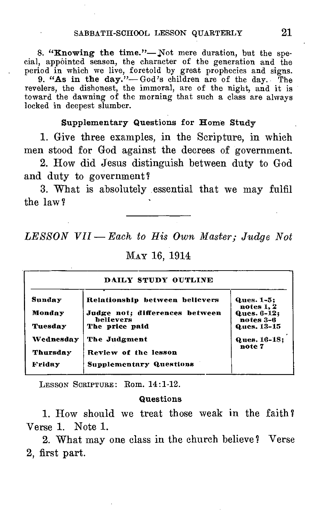8. "Knowing the time."—Not mere duration, but the special, appointed season, the character of the generation and the period in which we live, foretold by great prophecies and signs.

9. "As in the day."— God's children are of the day. The revelers, the dishonest, the immoral, are of the night, and it is toward the dawning of the morning that such a class are always locked in deepest slumber.

#### Supplementary Questions for Home Study

1. Give three examples, in the Scripture, in which men stood for God against the decrees of government.

2. How did Jesus distinguish between duty to God and duty to government

3. What is absolutely essential that we may fulfil the law7

*LESSON VII — Each to His Own Master; Judge Not* 

| DAILY STUDY OUTLINE |                                             |                          |
|---------------------|---------------------------------------------|--------------------------|
| Sunday              | Relationship between believers              | Ques. 1-5:<br>notes 1, 2 |
| Monday              | Judge not; differences between<br>believers | Ques. 6-12;<br>notes 3-6 |
| Tuesday             | The price paid                              | Ques. 13-15              |
| Wednesday           | The Judgment                                | Ques. 16-18:             |
| Thursday            | Review of the lesson                        | note 7                   |
| Friday              | <b>Supplementary Questions</b>              |                          |

MAY 16, 1914

**LESSON SCRIPTURE :** Rom. 14:1-12.

#### Questions

1. How should we treat those weak in the faith ? Verse 1. Note 1.

2. What may one class in the church believe? Verse 2, first part.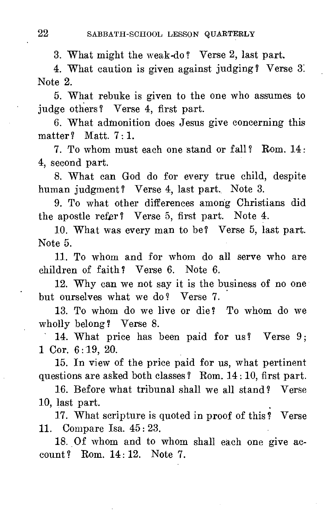3. What might the weak-do ? Verse 2, last part.

4. What caution is given against judging ? Verse 3. Note 2.

5. What rebuke is given to the one who assumes to judge others ? Verse 4, first part.

6. What admonition does Jesus give concerning this matter ? Matt.  $7:1$ .

7. To whom must each one stand or fall? Rom. 14: 4, second part.

8. What can God do for every true child, despite human judgment? Verse 4, last part. Note 3.

9. To what other differences among Christians did the apostle refer? Verse 5, first part. Note 4.

10. What was every man to be? Verse 5, last part. Note 5.

11. To whom and for whom do all serve who are children of faith? Verse 6. Note 6.

12. Why can we not say it is the business of no one but ourselves what we do ? Verse 7.

13. To whom do we live or die? To whom do we wholly belong? Verse 8.

14. What price has been paid for us? Verse 9; 1 Cor. 6: 19, 20.

15. In view of the price paid for us, what pertinent questions are asked both classes ? Rom. 14 : 10, first part.

16. Before what tribunal shall we all stand? Verse 10, last part.

17. What scripture is quoted in proof of this ? Verse 11. Compare Isa. 45 : 23.

18. Of whom and to whom shall each one give account? Rom. 14:12. Note 7.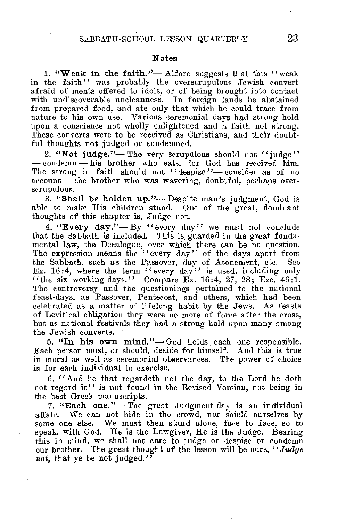#### **Notes**

**1. "Weak in the faith."—** Alford suggests that this ''weak in the faith" was probably the overscrupulous Jewish convert afraid of meats offered to idols, or of being brought into contact with undiscoverable uncleanness. In foreign lands he abstained from prepared food, and ate only that which he could trace from nature to his own use. Various ceremonial days had strong hold upon a conscience not wholly enlightened and a faith not strong. These converts were to be received as Christians, and their doubtful thoughts not judged or condemned.

2. "Not judge."— The very scrupulous should not "judge" — condemn — his brother who eats, for God has received him. The strong in faith should not "despise"—consider as of no account — the brother who was wavering, doubtful, perhaps overscrupulous.

**3. "Shall be holden up."—** Despite man's judgment, God is able to make His children stand. One of the great, dominant thoughts of this chapter is, Judge not.

**4. "Every day."—** By "every day" we must not conclude that the Sabbath is included. This is guarded in the great fundamental law, the Decalogue, over which there can be no question. The expression means the "every day" of the days apart from the Sabbath. such as the Passover, day of Atonement, etc. See the Sabbath, such as the Passover, day of Atonement, etc. Ex. 16:4, where the term "every day" is used, including only "the six working-days." Compare Ex. 16:4, 27, 28; Eze. 46:1. The controversy and the questionings pertained to the national feast-days, as Passover, Pentecost, and others, which had been celebrated as a matter of lifelong habit by the Jews. As feasts of Levitical obligation they were no more of force after the cross, but as national festivals they had **a** strong hold upon many among the Jewish converts.

**5. "In his own mind."—** God holds each one responsible. Each person must, or should, decide for himself. And this is true in moral as well as ceremonial observances. The power of choice is for each individual to exercise.

6. "And he that regardeth not the day, to the Lord he doth not regard it" is not found in the Revised Version, not being in the best Greek manuscripts.

**7. "Each one."—** The great Judgment-day is an individual affair. We can not hide in the crowd, nor shield ourselves by some one else. We must then stand alone, face to face, so to speak, with God. He is the Lawgiver, He is the Judge. Bearing this in mind, we shall not care to judge or despise **or** condemn our brother. The great thought of the lesson will **be** ours, *"Judge not,* **that ye be not judged."**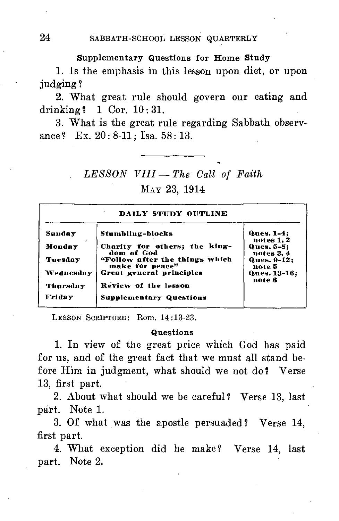#### Supplementary Questions for Home Study

1. Is the emphasis in this lesson upon diet, or upon judging ?

2. What great rule should govern our eating and drinking ? 1 Cor. 10 : 31.

3. What is the great rule regarding Sabbath observance ? Ex. 20: 8-11; Isa. 58: 13.

# *LESSON VIII — The Call of Faith*  MAY 23, 1914

| DAILY STUDY OUTLINE |                                                   |                              |
|---------------------|---------------------------------------------------|------------------------------|
| Sunday              | Stumbling-blocks                                  | Ques. 1-4:<br>notes 1, 2     |
| Monday              | Charity for others; the king-<br>dom of God       | Ques. 5-8;<br>notes 3, 4     |
| Tuesday             | "Follow after the things which<br>make for peace" | <b>Ques. 9-12:</b><br>note 5 |
| Wednesday           | Great general principles                          | Ques. 13-16;<br>note 6       |
| Thursday            | Review of the lesson                              |                              |
| Friday              | <b>Supplementary Questions</b>                    |                              |

LESSON SCRIPTURE: Rom. 14:13-23.

#### Questions

1. In view of the great price which God has paid for us, and of the great fact that we must all stand before Him in judgment, what should we not do? Verse 13, first part.

2. About what should we be careful? Verse 13, last part. Note 1.

3. Of what was the apostle persuaded ? Verse 14, first part.

4. What exception did he make? Verse 14, last part. Note 2.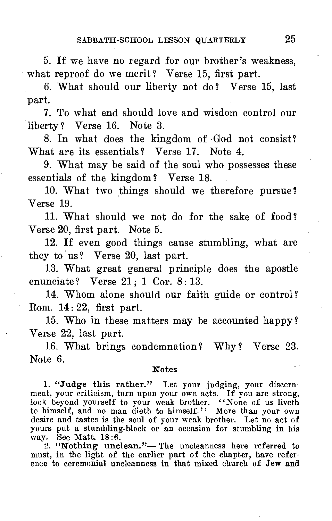5. If we have no regard for our brother's weakness, what reproof do we merit? Verse 15, first part.

6. What should our liberty not do ? Verse 15, last part.

7. To what end should love and wisdom control our liberty? Verse 16. Note 3.

8. In what does the kingdom of God not consist? What are its essentials? Verse 17. Note 4.

9. What may be said of the soul who possesses these essentials of the kingdom? Verse 18.

10. What two things should we therefore pursue Verse 19.

11. What should we not do for the sake of food? Verse 20, first part. Note 5.

12. If even good things cause stumbling, what are they to us? Verse 20, last part.

13. What great general principle does the apostle enunciate? Verse 21; 1 Cor. 8:13.

14. Whom alone should our faith guide or control? Rom.  $14 \div 22$ , first part.

15. Who in these matters may be accounted happy? Verse 22, last part.

16. What brings condemnation? Why? Verse 23. Note 6.

#### **Notes**

1. "Judge this rather."— Let your judging, your discernment, your criticism, turn upon your own acts. If you are strong, look beyond yourself to your weak brother. "None of us liveth to himself, and no man dieth to himself." More than your own desire and tastes is the soul of your weak brother. Let no act of yours put a stumbling-block or an occasion for stumbling in his way. See Matt. 18:6.

2. "Nothing unclean."— The uncleanness here referred to must, in the light of the earlier part of the chapter, have reference to ceremonial uncleanness in that mixed church of Jew and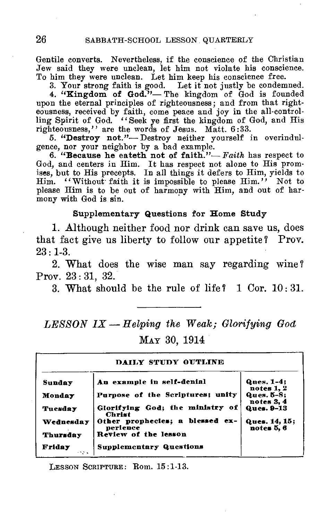Gentile converts. Nevertheless, if the conscience of the Christian Jew said they were unclean, let him not violate his conscience. To him they were unclean. Let him keep his conscience free.

3. Your strong faith is good. Let it not justly be condemned.

**4. "Kingdom of God."—** The kingdom of God is founded upon the eternal principles of righteousness; and from that righteousness, received by faith, come peace and joy in the all-controlling Spirit of God. "Seek ye first the kingdom of God, and His righteousness," are the words of Jesus. Matt. 6:33.

5. "Destroy not."- Destroy neither yourself in overindulgence, nor your neighbor by a bad example.

**6. "Because he eateth not of faith."—** *Faith* has respect to God, and centers in Him. It has respect not alone to His promises, **but to** His precepts. In all things it defers to Him, yields to Him. "Without faith it is impossible to please Him." Not to please Him is to be out of harmony with Him, and out of harmony with God is sin.

#### **Supplementary Questions for Home Study**

1. Although neither food nor drink can save us, does that fact give us liberty to follow our appetite ? Prov.  $23:1-3.$ 

2. What does the wise man say regarding wine ? Prov. 23 : 31, 32.

3. What should be the rule of life? 1 Cor. 10 : 31.

*LESSON IX — Helping the Weak; Glorifying God*  **MAY** 30, 1914

| DAILY STUDY OUTLINE |                                                  |                             |
|---------------------|--------------------------------------------------|-----------------------------|
| <b>Sunday</b>       | An example in self-denial                        | Ques. 1-4:<br>notes 1, 2    |
| Monday              | Purpose of the Scriptures; unity                 | Ques. 5-8:<br>notes 3.4     |
| Tuesday             | Glorifying God; the ministry of<br><b>Christ</b> | Ques. 9-13                  |
| Wednesday           | Other prophecies; a blessed ex-<br>perience      | Ques. 14, 15;<br>notes 5, 6 |
| Thursday            | Review of the lesson                             |                             |
| Friday<br>ويعد      | <b>Supplementary Questions</b>                   |                             |

LESSON SCRIPTURE: Rom. 15:1-13.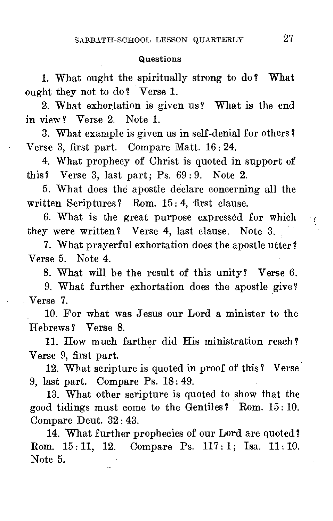#### **Questions**

1. What ought the spiritually strong to do? What ought they not to do ? Verse 1.

2. What exhortation is given us? What is the end in view? Verse 2. Note 1.

3. W hat example is given us in self-denial for others ? Verse 3, first part. Compare Matt. 16: 24.

4. What prophecy of Christ is quoted in support of this? Verse 3, last part; Ps. 69 : 9. Note 2.

5. What does the apostle declare concerning all the written Scriptures? Rom. 15:4, first clause.

6. What is the great purpose expressed for which they were written ? Verse 4, last clause. Note 3.

7. What prayerful exhortation does the apostle utter? Verse 5. Note 4.

8. What will be the result of this unity? Verse 6.

9. What further exhortation does the apostle give ? Verse 7.

10. For what was Jesus our Lord a minister to the Hebrews ? Verse 8.

11. How much farther did His ministration reach? Verse 9, first part.

12. What scripture is quoted in proof of this? Verse. 9, last part. Compare Ps. 18: 49.

13. What other scripture is quoted to show that the good tidings must come to the Gentiles ? Rom. 15 : 10. Compare Deut. 32: 43.

14. What further prophecies of our Lord are quoted? Rom. 15 : 11, 12. Compare Ps. 117: 1; Isa. 11: 10. Note 5.

 $\frac{1}{2}$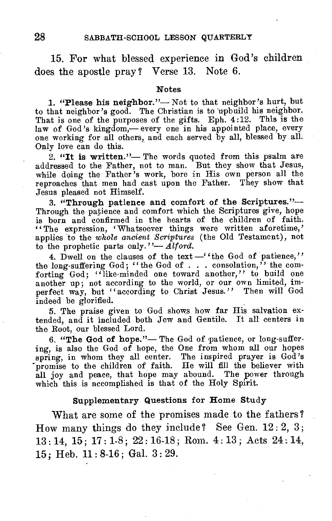15. For what blessed experience in God's children does the apostle pray? Verse 13. Note 6.

#### **Notes**

**1. "Please his neighbor."—** Not to that neighbor's hurt, but to that neighbor's good. The Christian is to upbuild his neighbor. That is one of the purposes of the gifts. Eph. 4:12. This is the law of God's kingdom,— every one in his appointed place, every one working for all others, and each served by all, blessed by all. Only love can do this.

**2. "It is written."—** The words quoted from this psalm are addressed to the Father, not to man. But they show that Jesus, while doing the Father's work, bore in His own person all the reproaches that men had cast upon the Father. They show that Jesus pleased not Himself.

**3. "Through patience and comfort of the Scriptures."—** Through the patience and comfort which the Scriptures give, hope is born and confirmed in the hearts of the children of faith. "The expression, 'Whatsoever things were written aforetime,' applies to the *whole ancient Scriptures* (the Old Testament), not to the prophetic parts only."— *Alford.* 

4. Dwell on the clauses of the text  $-$  'the God of patience," the long-suffering God; "the God of . . . consolation," the comforting God; "like-minded one toward another," to build one another up; not according to the world, or our own limited, imperfect way, but "according to Christ Jesus." Then will God indeed be glorified.

5. The praise given to God shows how far His salvation extended, and it included both Jew and Gentile. It all centers in the Root, our blessed Lord.

**6. "The God of hope."—** The God of patience, or long-suffering, is also the God of hope, the One from whom all our hopes spring, in whom they all center. The inspired prayer is God's promise to the children of faith. He will fill the believer with all joy and peace, that hope may abound. The power through which this is accomplished is that of the Holy Spirit.

#### **Supplementary Questions for Home Study**

What are some of the promises made to the fathers? How many things do they include? See Gen.  $12:2, 3$ ; 13 : 14, 15; 17 : 1-8 ; 22 : 16-18 ; Rom. 4 : 13 ; Acts 24 : 14, 15 ; Heb. 11 : 8-16 ; Gal. 3 : 29.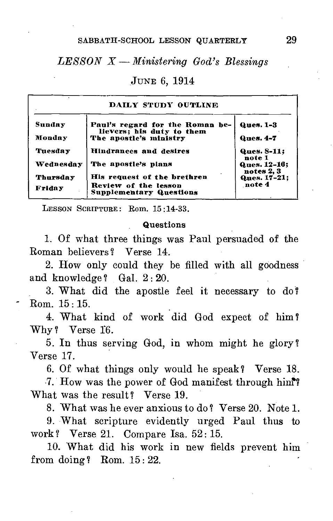#### SABBATH-SCHOOL LESSON QUARTERLY 29

## *LESSON X — Ministering God's Blessings*

#### JUNE 6, 1914

| DAILY STUDY OUTLINE       |                                                                                       |                                   |
|---------------------------|---------------------------------------------------------------------------------------|-----------------------------------|
| Sunday                    | Paul's regard for the Roman be-<br>lievers; his duty to them                          | <b>Ques. 1-3</b>                  |
| Monday                    | The apostle's ministry                                                                | <b>Ques. 4-7</b>                  |
| Tuesday                   | Hindrances and desires                                                                | Ques. 8-11;<br>note 1             |
| Wednesday                 | The apostle's pians                                                                   | <b>Ques. 12-16:</b><br>notes 2, 3 |
| Thursday<br><b>Friday</b> | His request of the brethren<br>Review of the lesson<br><b>Supplementary Questions</b> | Ques. 17-21;<br>note 4            |

LESSON SCRIPTURE: Rom. 15 :14-33.

#### **Questions**

1. Of what three things was Paul persuaded of the Roman believers? Verse 14.

2. How only could they be filled with all goodness and knowledge? Gal.  $2:20$ .

3. What did the apostle feel it necessary to do ? Rom. 15 : 15.

4. What kind of work did God expect of him ? Why? Verse 16.

5. In thus serving God, in whom might he glory? Verse 17.

6. Of what things only would he speak? Verse 18.

.7. How was the power of God manifest through hini? What was the result? Verse 19.

8. What was he ever anxious to do? Verse 20. Note 1.

9. What scripture evidently urged Paul thus to work ? Verse 21. Compare Isa. 52 : 15.

10. What did his work in new fields prevent him from doing? Rom.  $15:22$ .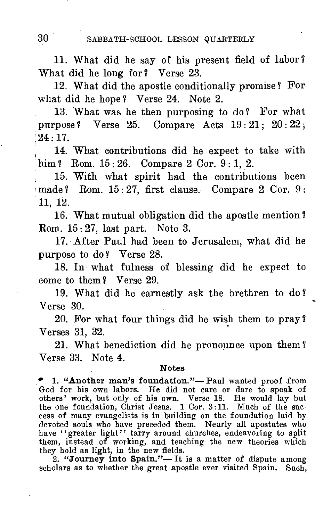11. What did he say of his present field of labor ? What did he long for? Verse 23.

12. What did the apostle conditionally promise? For what did he hope? Verse 24. Note 2.

13. What was he then purposing to do ? For what purpose ? Verse 25. Compare Acts 19 : 21; 20 : 22 ;  $124 \cdot 17$ .

14. What contributions did he expect to take with him ? Rom. 15:26. Compare 2 Cor. 9:1, 2.

15. With what spirit had the contributions been made? Rom. 15:27, first clause. Compare 2 Cor. 9: 11, 12.

16. What mutual obligation did the apostle mention ? Rom. 15: 27, last part. Note 3.

17. After Paul had been to Jerusalem, what did he purpose to do? Verse 28.

18. In what fulness of blessing did he expect to come to them? Verse 29.

19. What did he earnestly ask the brethren to do ? Verse 30.

20. For what four things did he wish them to pray ? Verses 31, 32.

21. What benediction did he pronounce upon them ? Verse 33. Note 4.

#### **Notes**

• 1. "Another man's foundation."- Paul wanted proof from God for his own labors. He did not care or dare to speak of others' work, but only of his own. Verse 18. He would lay but the one foundation, Christ Jesus. 1 Cor. 3:11. Much of the success of many evangelists is in building on the foundation laid by devoted souls who have preceded them. Nearly all apostates who have "greater light" tarry around churches, endeavoring to split them, instead of working, and teaching the new theories which they hold as light, in the new fields.

2. **"Journey into Spain."— It** is a matter of dispute among scholars as to whether the great apostle ever visited Spain. Such,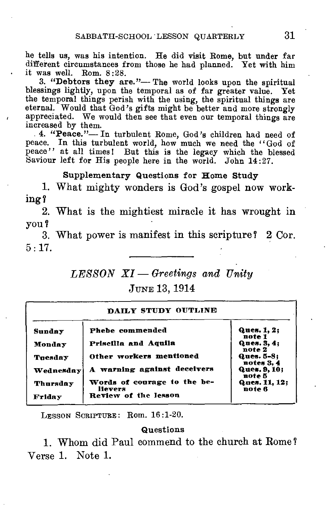he tells us, was his intention. He did visit Rome, but under far different circumstances from those he had planned. Yet with him it was well. Rom. 8:28.

3. "Debtors they are."— The world looks upon the spiritual blessings lightly, upon the temporal as of far greater value. Yet the temporal things perish with the using, the spiritual things are eternal. Would that God's gifts might be better and more strongly appreciated. We would then see that even our temporal things are increased by them.

4. "Peace."— In turbulent Rome, God's children had need of peace. In this turbulent world, how much we need the "God of peace" at all times! But this is the legacy which the blessed Saviour left for His people here in the world. John 14:27.

#### **Supplementary Questions for Home Study**

1. What mighty wonders is God's gospel now working?

2. What is the mightiest miracle it has wrought in you?

3. What power is manifest in this scripture? 2 Cor.  $5 \cdot 17$ .

# *LESSON XI — Greetings and Unitu* JUNE 13, 1914

| DAILY STUDY OUTLINE |                                        |                          |
|---------------------|----------------------------------------|--------------------------|
| Sunday              | Phebe commended                        | Ques. 1, 2;<br>note 1    |
| Monday              | Priscilla and Aquila                   | Ques. 3, 4;<br>note 2    |
| Tuesday             | Other workers mentioned                | Ques. 5-8:<br>notes 3, 4 |
| Wednesday           | A warning against deceivers            | Ques. 9, 10:<br>note 5   |
| Thursday            | Words of courage to the be-<br>lievers | Ques. 11, 12;<br>note 6  |
| Friday              | Review of the lesson                   |                          |

LESSON SCRIPTURE: Rom. 16:1-20.

#### **Questions**

**1.** Whom did Paul commend to the church at Rome? Verse 1. Note 1.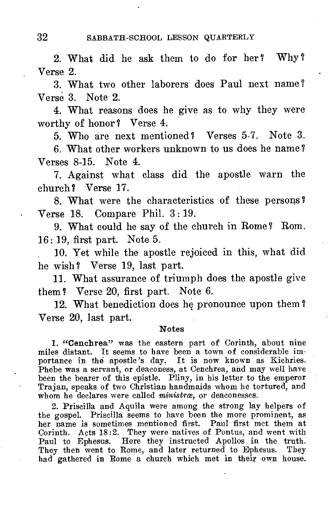2. What did he ask them to do for her ? Why ? Verse 2.

3. What two other laborers does Paul next name ? Verse 3. Note 2.

4. What reasons does he give as to why they were worthy of honor? Verse 4.

5. Who are next mentioned? Verses 5-7. Note 3.

6. What other workers unknown to us does he name? Verses 8-15. Note 4.

7. Against what class did the apostle warn the church? Verse 17.

8. What were the characteristics of these persons ? Verse 18. Compare Phil. 3 : 19.

9. What could he say of the church in Rome ? Rom. 16: 19, first part. Note 5.

10. Yet while the apostle rejoiced in this, what did he wish? Verse 19, last part.

11. What assurance of triumph does the apostle give them? Verse 20, first part. Note 6.

12. What benediction does he pronounce upon them ? Verse 20, last part.

#### Notes

1. "Cenchrea" was the eastern part of Corinth, about nine miles distant. It seems to have been a town of considerable importance in thd apostle's day. It is now known as Kichries. Phebe was a servant, or deaconess, at Cenchrea, and may well have been the bearer of this epistle. Pliny, in his letter to the emperor Trajan, speaks of two Christian handmaids whom he tortured, and whom he declares were called *ministræ*, or deaconesses.

2. Priscilla and Aquila were among the strong lay helpers of the gospel. Priscilla seems to have been the more prominent, as her name is sometimes mentioned first. Paul first met them at Corinth. Acts 18:2. They were natives of Pontus, and went with Paul to Ephesus. Here they instructed Apollos in the truth. They then went to Rome, and later returned to Ephesus. They had gathered in Rome a church which met in their own house.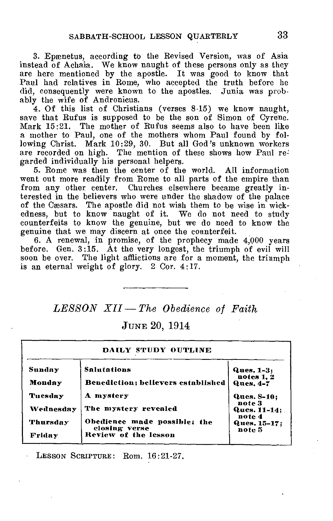3. Epænetus, according to the Revised Version, was of Asia instead of Achaia. We know naught of these persons only as they are here mentioned by the apostle. It was good to know that Paul had relatives in Rome, who accepted the truth before he did, consequently were known to the apostles. Junia was probably the wife of Andronicus.

4. Of this list of Christians (verses 8-15) we know naught, save that Rufus is supposed to be the son of Simon of Cyrene. Mark 15:21. The mother of Rufus seems also to have been like a mother to Paul, one of the mothers whom Paul found by following Christ. Mark 10:29, 30. But all God's unknown workers are recorded on high. The mention of these shows how Paul regarded individually his personal helpers.

5. Rome was then the center of the world. All information went out more readily from Rome to all parts of the empire than from any other center. Churches elsewhere became greatly interested in the believers who were under the shadow of the palace of the Cæsars. The apostle did not wish them to be wise in wickedness, but to know naught of it. We do not need to study counterfeits to know the genuine, but we do need to know the genuine that we may discern at once the counterfeit.

6. A renewal, in promise, of the prophecy made 4,000 years before. Gen. 3:15. At the very longest, the triumph of evil will soon be over. The light afflictions are for a moment, the triumph is an eternal weight of glory. 2 Cor. 4:17.

#### *LESSON XII —The Obedience of Faith*

JUNE 20, 1914

| DAILY STUDY OUTLINE |                                               |                                  |
|---------------------|-----------------------------------------------|----------------------------------|
| Sunday              | <b>Salutations</b>                            | Ques. 1-3:                       |
| Monday              | Benediction; believers established            | notes 1, 2<br><b>Ques. 4-7</b>   |
| Tuesday             | A mystery                                     | Ques. 8-10:                      |
| Wednesday           | The mystery revealed                          | note 3<br>Ques. 11-14:           |
| <b>Thursday</b>     | Obedience made possible; the<br>closing verse | note 4<br>Ques. 15-17:<br>note 5 |
| Friday              | Review of the lesson                          |                                  |

LESSON SCRIPTURE: Rom. 16:21-27.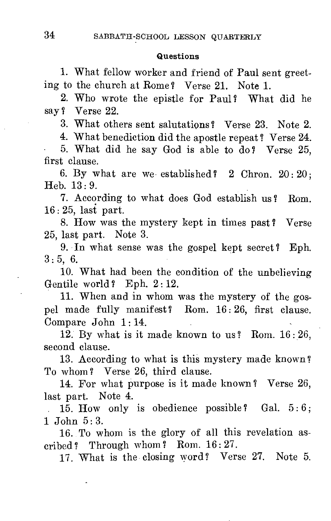#### Questions

1. What fellow worker and friend of Paul sent greeting to the church at Rome? Verse 21. Note 1.

2. Who wrote the epistle for Paul? What did he say ? Verse 22.

3. What others sent salutations ? Verse 23. Note 2.

4. What benediction did the apostle repeat? Verse 24.

5. What did he say God is able to do? Verse 25, first clause.

6. By what are we established?  $2$  Chron.  $20:20$ ; Heb. 13 : 9.

7. According to what does God establish us ? Rom. 16: 25, last part.

8. How was the mystery kept in times past? Verse 25, last part. Note 3.

9. In what sense was the gospel kept secret? Eph.  $3:5, 6.$ 

10. What had been the condition of the unbelieving Gentile world? Eph. 2:12.

11. When and in whom was the mystery of the gospel made fully manifest? Rom. 16 : 26, first clause. Compare John 1:14.

12. By what is it made known to us ? Rom. 16 : 26, second clause.

13. According to what is this mystery made known ? To whom? Verse 26, third clause.

14. For what purpose is it made known ? Verse 26, last part. Note 4.

 $15.$  How only is obedience possible? Gal.  $5:6$ ; 1 John 5:3.

16. To whom is the glory of all this revelation ascribed? Through whom? Rom.  $16:27$ .

17. What is the closing word? Verse 27. Note 5.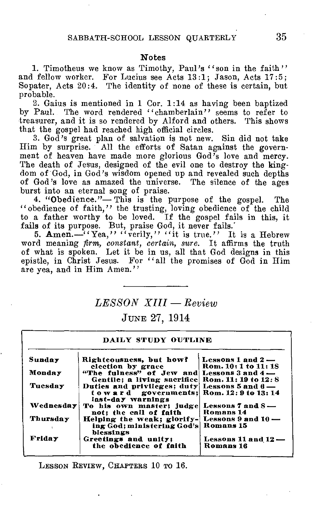#### Notes

1. Timotheus we know as Timothy, Paul's "son in the faith" and fellow worker. For Lucius see Acts 13:1; Jason, Acts 17:5; Sopater, Acts 20:4. The identity of none of these is certain, but probable.

2. Gains is mentioned in 1 Cor. 1:14 as having been baptized by Paul. The word rendered "chamberlain" seems to refer to treasurer, and it is so rendered by Alford and others. This shows that the gospel had reached high official circles.

3. God's great plan of salvation is not new. Sin did not take Him by surprise. All the efforts of Satan against the government of heaven have made more glorious God's love and mercy. The death of Jesus, designed of the evil one to destroy the kingdom of God, in God's wisdom opened up and revealed such depths of God's love as amazed the universe. The silence of the ages burst into an eternal song of praise.

4. "Obedience."— This is the purpose of the gospel. The "obedience of faith," the trusting, loving obedience of the child to a father worthy to be loved. If the gospel fails in this, it fails of its purpose. But, praise God, it never fails.

5. Amen.—<sup> $\frac{1}{4}$ </sup>Yea," "verily," "it is true." It is a Hebrew word meaning *firm, constant, certain, sure.* It affirms the truth of what is spoken. Let it be in us, all that God designs in this epistle, in Christ Jesus. For "all the promises of God in Him are yea, and in Him Amen."

#### *LESSON XIII — Review*

JUNE 27, 1914

| DAILY STUDY OUTLINE |                                                                                                               |                                     |
|---------------------|---------------------------------------------------------------------------------------------------------------|-------------------------------------|
| Sunday              | Righteousness, but how?                                                                                       | Lessons $1$ and $2-$                |
|                     | clection by grace                                                                                             | Rom. 10: 1 to 11: 18                |
| Monday              | "The fulness" of Jew and Lessons 3 and 4-                                                                     |                                     |
|                     | Gentile: a living sacrifice Rom. 11: 19 to 12: 8                                                              |                                     |
| Tuesday             | Duties and privileges: duty Lessons 5 and 6-<br>toward governments: Rom. 12: 9 to 13: 14<br>last-day warnings |                                     |
| Wednesday           | To his own master; judge Lessons 7 and 8-<br>not; the call of faith                                           | Romans 14                           |
| Thursday            | Helping the weak: glorify- Lessons $9$ and $10$ —<br>ing God; ministering God's<br>blessings                  | Romans 15                           |
| <b>Friday</b>       | Greetings and unity;<br>the obedience of faith                                                                | Lessons $11$ and $12-$<br>Romans 16 |

LESSON REVIEW, CHAPTERS 10 TO 16.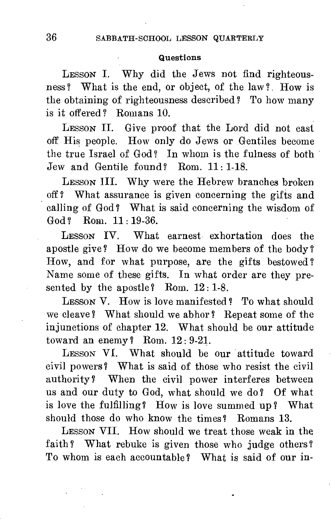#### Questions

LESSON I. Why did the Jews not find righteousness? What is the end, or object, of the law? How is the obtaining of righteousness described? To how many is it offered? Romans 10.

LESSON II. Give proof that the Lord did not cast off His people. How only do Jews or Gentiles become the true Israel of God? In whom is the fulness of both Jew and Gentile found? Rom. 11 : 1-18.

LESSON III. Why were the Hebrew branches broken off ? What assurance is given concerning the gifts and calling of God? What is said concerning the wisdom of God ? Rom. 11: 19-36.

LESSON IV. What earnest exhortation does the apostle give? How do we become members of the body? How, and for what purpose, are the gifts bestowed ? Name some of these gifts. In what order are they presented by the apostle? Rom. 12:1-8.

LESSON V. How is love manifested? To what should we cleave ? What should we abhor ? Repeat some of the injunctions of chapter 12. What should be our attitude toward an enemy? Rom.  $12:9-21$ .

LESSON VI. What should be our attitude toward civil powers? What is said of those who resist the civil authority? When the civil power interferes between us and our duty to God, what should we do? Of what is love the fulfilling? How is love summed up? What should those do who know the times? Romans 13.

LESSON VII. How should we treat those weak in the faith? What rebuke is given those who judge others? To whom is each accountable ? What is said of our in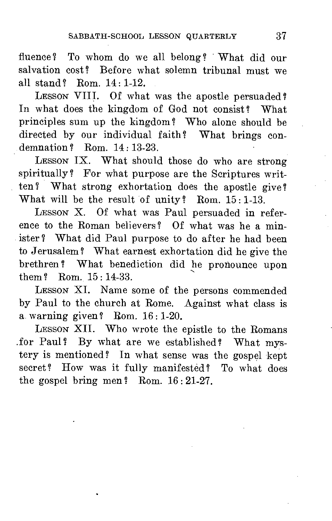fluence ? To whom do we all belong ? What did our salvation cost? Before what solemn tribunal must we all stand ? Rom. 14 : 1-12.

LESSON VIII. Of what was the apostle persuaded? In what does the kingdom of God not consist? What principles sum up the kingdom ? Who alone should be directed by our individual faith? What brings condemnation ? Rom. 14: 13-23.

LESSON IX. What should those do who are strong spiritually? For what purpose are the Scriptures written? What strong exhortation does the apostle give? What will be the result of unity? Rom.  $15:1-13$ .

LESSON X. Of what was Paul persuaded in reference to the Roman believers? Of what was he a minister? What did Paul purpose to do after he had been to Jerusalem ? What earnest exhortation did he give the brethren ? What benediction did he pronounce upon them ? Rom. 15 : 14-33.

LESSON XI. Name some of the persons commended by Paul to the church at Rome. Against what class is a warning given? Rom.  $16:1-20$ .

LESSON XII. Who wrote the epistle to the Romans .for Paul? By what are we established? What mystery is mentioned? In what sense was the gospel kept secret? How was it fully manifested? To what does the gospel bring men? Rom.  $16:21-27$ .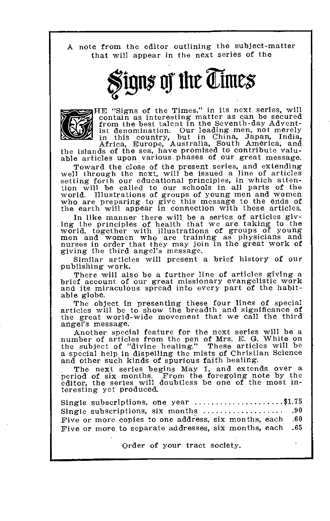A note from the editor outlining the subject-matter that will appear in the next series of the

# Signs of the Times  $\,$



HE "Signs of the Times," in its next series, will contain as interesting matter as can be secured from the best talent in the Seventh-day Adventist denomination. Our leading men, not merely in this country, but in China, Japan, India, Africa, Europe, Australia, South America, and the islands of the sea, have promised to contribute valuable articles upon various phases of our great message.

Toward the close of the present series, and extending<br>well through the next, will be issued a line of articles<br>setting forth our educational principles, in which atten-<br>tion will be called to our schools in all parts of th who are preparing to give this message to the ends of the earth will appear in connection with these articles.

In like manner there will be a series of articles giving the principles of health that we are taking to the world, together with illustrations of groups of young men and women who are training as physicians and nurses in order that they may join in the great work of giving the third angel's message.

Similar articles will present a brief history of our publishing work.

There will also be a further line of articles giving a brief account of our great missionary evangelistic work<br>and its miraculous spread into every part of the habitable globe.

The object in presenting these four lines of special articles will be to show the breadth and significance of the great world-wide movement that we call the third angel's message.

Another special feature for the next series will be a number of articles from the pen of Mrs. E. G. White on the subject of "divine healing." These articles will be a special help in dispelling the mists of Christian Science and other such kinds of spurious faith healing.

The next series begins May 1, and extends over a period of six months. From the foregoing note by the editor, the series will doubtless be one of the most interesting yet produced.

Single subscriptions, one year  $\ldots, \ldots, \ldots, \$ \$1.75<br>Single subscriptions, six months  $\ldots, \ldots, \ldots, \ldots, 90$ Single subscriptions, six months .90 Five or more copies to one address, six months, each .60 Five or more to separate addresses, six months, each

Order of your tract society.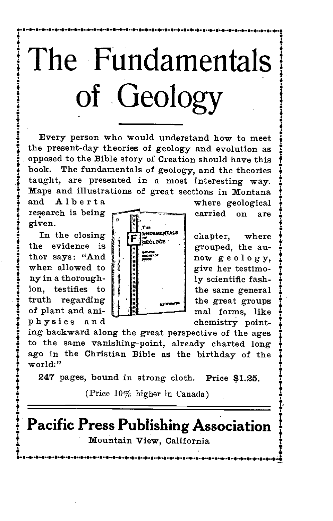

**••••••••••••••••••••••••••••••••••••••••••••••••••••••••••••••••••••••••••••••••••••••••••••••••••••••••••••••••••••••••••1** 

Every person who would understand how to meet the present-day theories of geology and evolution as opposed to the Bible story of Creation should have this book. The fundamentals of geology, and the theories taught, are presented in a most interesting way. Maps and illustrations of great sections in Montana and Alberta where geological

given.

In the closing the evidence is thor says: "And when allowed to ny in a thoroughion, testifies to truth regarding of plant and aniphysics and



chapter, where grouped, the aunow geology, give her testimoly scientific fashthe same general the great groups mal forms, like chemistry point-

ing backward along the great perspective of the ages to the same vanishing-point, already charted long ago in the Christian Bible as the birthday of the world."

247 pages, bound in strong cloth. Price \$1.25.

(Price 10% higher in Canada)

**Pacific Press Publishing Association**  Mountain View, California

ية بالمسهود والمسهود والمسهود والمسهود والمسهود والمسهود والمسهود والمساعد والمسيح المسهود والمسهود والمسهود والمس